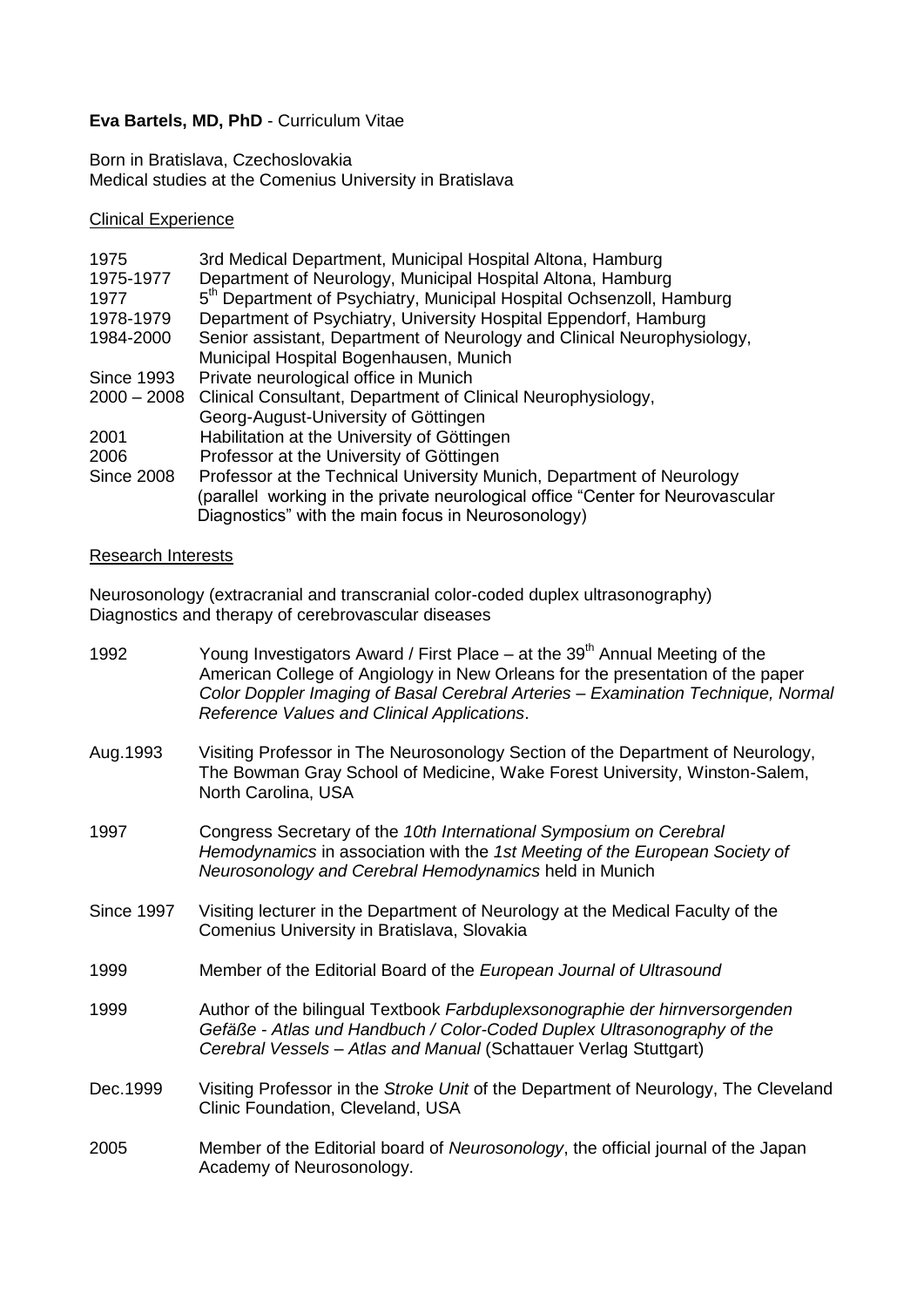## **Eva Bartels, MD, PhD** - Curriculum Vitae

Born in Bratislava, Czechoslovakia Medical studies at the Comenius University in Bratislava

## Clinical Experience

| 1975              | 3rd Medical Department, Municipal Hospital Altona, Hamburg                       |
|-------------------|----------------------------------------------------------------------------------|
| 1975-1977         | Department of Neurology, Municipal Hospital Altona, Hamburg                      |
| 1977              | 5 <sup>th</sup> Department of Psychiatry, Municipal Hospital Ochsenzoll, Hamburg |
| 1978-1979         | Department of Psychiatry, University Hospital Eppendorf, Hamburg                 |
| 1984-2000         | Senior assistant, Department of Neurology and Clinical Neurophysiology,          |
|                   | Municipal Hospital Bogenhausen, Munich                                           |
| <b>Since 1993</b> | Private neurological office in Munich                                            |
|                   | 2000 - 2008 Clinical Consultant, Department of Clinical Neurophysiology,         |
|                   | Georg-August-University of Göttingen                                             |
| 2001              | Habilitation at the University of Göttingen                                      |
| 2006              | Professor at the University of Göttingen                                         |
| <b>Since 2008</b> | Professor at the Technical University Munich, Department of Neurology            |
|                   | (parallel working in the private neurological office "Center for Neurovascular   |
|                   | Diagnostics" with the main focus in Neurosonology)                               |

## Research Interests

Neurosonology (extracranial and transcranial color-coded duplex ultrasonography) Diagnostics and therapy of cerebrovascular diseases

| 1992              | Young Investigators Award / First Place – at the $39th$ Annual Meeting of the<br>American College of Angiology in New Orleans for the presentation of the paper<br>Color Doppler Imaging of Basal Cerebral Arteries - Examination Technique, Normal<br>Reference Values and Clinical Applications. |
|-------------------|----------------------------------------------------------------------------------------------------------------------------------------------------------------------------------------------------------------------------------------------------------------------------------------------------|
| Aug. 1993         | Visiting Professor in The Neurosonology Section of the Department of Neurology,<br>The Bowman Gray School of Medicine, Wake Forest University, Winston-Salem,<br>North Carolina, USA                                                                                                               |
| 1997              | Congress Secretary of the 10th International Symposium on Cerebral<br>Hemodynamics in association with the 1st Meeting of the European Society of<br>Neurosonology and Cerebral Hemodynamics held in Munich                                                                                        |
| <b>Since 1997</b> | Visiting lecturer in the Department of Neurology at the Medical Faculty of the<br>Comenius University in Bratislava, Slovakia                                                                                                                                                                      |
| 1999              | Member of the Editorial Board of the European Journal of Ultrasound                                                                                                                                                                                                                                |
| 1999              | Author of the bilingual Textbook Farbduplexsonographie der hirnversorgenden<br>Gefäße - Atlas und Handbuch / Color-Coded Duplex Ultrasonography of the<br>Cerebral Vessels - Atlas and Manual (Schattauer Verlag Stuttgart)                                                                        |
| Dec.1999          | Visiting Professor in the Stroke Unit of the Department of Neurology, The Cleveland<br>Clinic Foundation, Cleveland, USA                                                                                                                                                                           |
| 2005              | Member of the Editorial board of Neurosonology, the official journal of the Japan<br>Academy of Neurosonology.                                                                                                                                                                                     |
|                   |                                                                                                                                                                                                                                                                                                    |